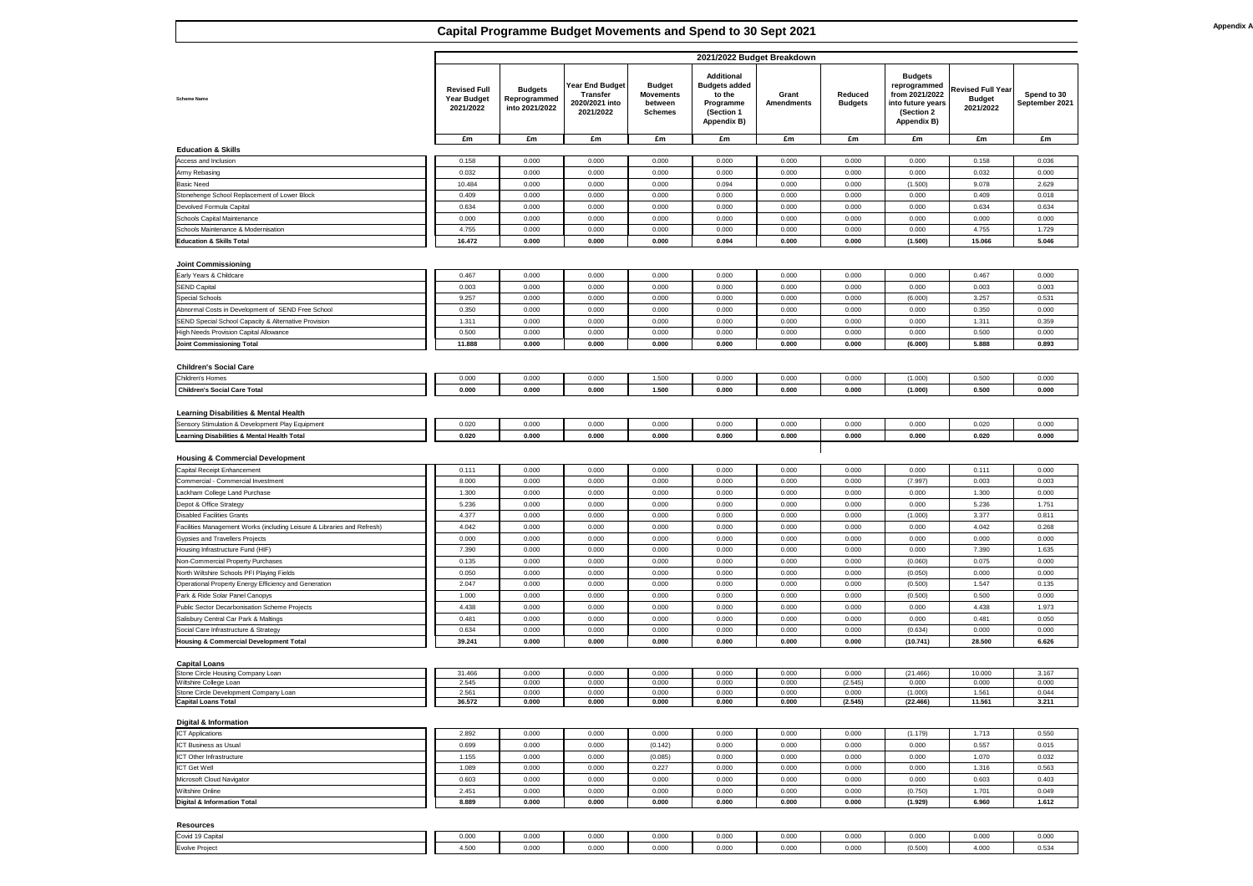### **Scheme Name**

### **Education & Skills**

| <b>Education &amp; Skills Total</b>          |  |
|----------------------------------------------|--|
| Schools Maintenance & Modernisation          |  |
| <b>Schools Capital Maintenance</b>           |  |
| Devolved Formula Capital                     |  |
| Stonehenge School Replacement of Lower Block |  |
| <b>Basic Need</b>                            |  |
| <b>Army Rebasing</b>                         |  |
| Access and Inclusion                         |  |

|                                                                                                     |                                                        |                                                  |                                                                          |                                                                | 2021/2022 Budget Breakdown                                                                           |                                   |                                  |                                                                                                            |                                                        |                                      |
|-----------------------------------------------------------------------------------------------------|--------------------------------------------------------|--------------------------------------------------|--------------------------------------------------------------------------|----------------------------------------------------------------|------------------------------------------------------------------------------------------------------|-----------------------------------|----------------------------------|------------------------------------------------------------------------------------------------------------|--------------------------------------------------------|--------------------------------------|
| <b>Scheme Name</b>                                                                                  | <b>Revised Full</b><br><b>Year Budget</b><br>2021/2022 | <b>Budgets</b><br>Reprogrammed<br>into 2021/2022 | <b>Year End Budget</b><br><b>Transfer</b><br>2020/2021 into<br>2021/2022 | <b>Budget</b><br><b>Movements</b><br>between<br><b>Schemes</b> | <b>Additional</b><br><b>Budgets added</b><br>to the<br>Programme<br>(Section 1<br><b>Appendix B)</b> | <b>Grant</b><br><b>Amendments</b> | <b>Reduced</b><br><b>Budgets</b> | <b>Budgets</b><br>reprogrammed<br>from 2021/2022<br>into future years<br>(Section 2)<br><b>Appendix B)</b> | <b>Revised Full Year</b><br><b>Budget</b><br>2021/2022 | <b>Spend to 30</b><br>September 2021 |
|                                                                                                     | £m                                                     | £m                                               | £m                                                                       | £m                                                             | £m                                                                                                   | £m                                | £m                               | £m                                                                                                         | £m                                                     | £m                                   |
| <b>Education &amp; Skills</b>                                                                       |                                                        |                                                  |                                                                          |                                                                |                                                                                                      |                                   |                                  |                                                                                                            |                                                        |                                      |
| <b>Access and Inclusion</b><br><b>Army Rebasing</b>                                                 | 0.158<br>0.032                                         | 0.000<br>0.000                                   | 0.000<br>0.000                                                           | 0.000<br>0.000                                                 | 0.000<br>0.000                                                                                       | 0.000<br>0.000                    | 0.000<br>0.000                   | 0.000<br>0.000                                                                                             | 0.158<br>0.032                                         | 0.036<br>0.000                       |
| <b>Basic Need</b>                                                                                   | 10.484                                                 | 0.000                                            | 0.000                                                                    | 0.000                                                          | 0.094                                                                                                | 0.000                             | 0.000                            | (1.500)                                                                                                    | 9.078                                                  | 2.629                                |
| Stonehenge School Replacement of Lower Block                                                        | 0.409                                                  | 0.000                                            | 0.000                                                                    | 0.000                                                          | 0.000                                                                                                | 0.000                             | 0.000                            | 0.000                                                                                                      | 0.409                                                  | 0.018                                |
| Devolved Formula Capital                                                                            | 0.634                                                  | 0.000                                            | 0.000                                                                    | 0.000                                                          | 0.000                                                                                                | 0.000                             | 0.000                            | 0.000                                                                                                      | 0.634                                                  | 0.634                                |
| Schools Capital Maintenance                                                                         | 0.000                                                  | 0.000                                            | 0.000                                                                    | 0.000                                                          | 0.000                                                                                                | 0.000                             | 0.000                            | 0.000                                                                                                      | 0.000                                                  | 0.000                                |
| Schools Maintenance & Modernisation                                                                 | 4.755                                                  | 0.000                                            | 0.000                                                                    | 0.000                                                          | 0.000                                                                                                | 0.000                             | 0.000                            | 0.000                                                                                                      | 4.755                                                  | 1.729                                |
| <b>Education &amp; Skills Total</b>                                                                 | 16.472                                                 | 0.000                                            | 0.000                                                                    | 0.000                                                          | 0.094                                                                                                | 0.000                             | 0.000                            | (1.500)                                                                                                    | 15.066                                                 | 5.046                                |
|                                                                                                     |                                                        |                                                  |                                                                          |                                                                |                                                                                                      |                                   |                                  |                                                                                                            |                                                        |                                      |
| <b>Joint Commissioning</b><br>Early Years & Childcare                                               | 0.467                                                  | 0.000                                            | 0.000                                                                    | 0.000                                                          | 0.000                                                                                                | 0.000                             | 0.000                            | 0.000                                                                                                      | 0.467                                                  | 0.000                                |
| <b>SEND Capital</b>                                                                                 | 0.003                                                  | 0.000                                            | 0.000                                                                    | 0.000                                                          | 0.000                                                                                                | 0.000                             | 0.000                            | 0.000                                                                                                      | 0.003                                                  | 0.003                                |
| Special Schools                                                                                     | 9.257                                                  | 0.000                                            | 0.000                                                                    | 0.000                                                          | 0.000                                                                                                | 0.000                             | 0.000                            | (6.000)                                                                                                    | 3.257                                                  | 0.531                                |
| Abnormal Costs in Development of SEND Free School                                                   | 0.350                                                  | 0.000                                            | 0.000                                                                    | 0.000                                                          | 0.000                                                                                                | 0.000                             | 0.000                            | 0.000                                                                                                      | 0.350                                                  | 0.000                                |
| <b>SEND Special School Capacity &amp; Alternative Provision</b>                                     | 1.311                                                  | 0.000                                            | 0.000                                                                    | 0.000                                                          | 0.000                                                                                                | 0.000                             | 0.000                            | 0.000                                                                                                      | 1.311                                                  | 0.359                                |
| High Needs Provision Capital Allowance                                                              | 0.500                                                  | 0.000                                            | 0.000                                                                    | 0.000                                                          | 0.000                                                                                                | 0.000                             | 0.000                            | 0.000                                                                                                      | 0.500                                                  | 0.000                                |
| <b>Joint Commissioning Total</b>                                                                    | 11.888                                                 | 0.000                                            | 0.000                                                                    | 0.000                                                          | 0.000                                                                                                | 0.000                             | 0.000                            | (6.000)                                                                                                    | 5.888                                                  | 0.893                                |
|                                                                                                     |                                                        |                                                  |                                                                          |                                                                |                                                                                                      |                                   |                                  |                                                                                                            |                                                        |                                      |
| <b>Children's Social Care</b><br><b>Children's Homes</b>                                            | 0.000                                                  | 0.000                                            | 0.000                                                                    | 1.500                                                          | 0.000                                                                                                | 0.000                             | 0.000                            | (1.000)                                                                                                    | 0.500                                                  | 0.000                                |
| <b>Children's Social Care Total</b>                                                                 | 0.000                                                  | 0.000                                            | 0.000                                                                    | 1.500                                                          | 0.000                                                                                                | 0.000                             | 0.000                            | (1.000)                                                                                                    | 0.500                                                  | 0.000                                |
|                                                                                                     |                                                        |                                                  |                                                                          |                                                                |                                                                                                      |                                   |                                  |                                                                                                            |                                                        |                                      |
| <b>Learning Disabilities &amp; Mental Health</b>                                                    |                                                        |                                                  |                                                                          |                                                                |                                                                                                      |                                   |                                  |                                                                                                            |                                                        |                                      |
| Sensory Stimulation & Development Play Equipment                                                    | 0.020                                                  | 0.000                                            | 0.000                                                                    | 0.000                                                          | 0.000                                                                                                | 0.000                             | 0.000                            | 0.000                                                                                                      | 0.020                                                  | 0.000                                |
| Learning Disabilities & Mental Health Total                                                         | 0.020                                                  | 0.000                                            | 0.000                                                                    | 0.000                                                          | 0.000                                                                                                | 0.000                             | 0.000                            | 0.000                                                                                                      | 0.020                                                  | 0.000                                |
|                                                                                                     |                                                        |                                                  |                                                                          |                                                                |                                                                                                      |                                   |                                  |                                                                                                            |                                                        |                                      |
| <b>Housing &amp; Commercial Development</b><br>Capital Receipt Enhancement                          | 0.111                                                  | 0.000                                            | 0.000                                                                    | 0.000                                                          | 0.000                                                                                                | 0.000                             | 0.000                            | 0.000                                                                                                      | 0.111                                                  | 0.000                                |
| Commercial - Commercial Investment                                                                  | 8.000                                                  | 0.000                                            | 0.000                                                                    | 0.000                                                          | 0.000                                                                                                | 0.000                             | 0.000                            | (7.997)                                                                                                    | 0.003                                                  | 0.003                                |
| Lackham College Land Purchase                                                                       | 1.300                                                  | 0.000                                            | 0.000                                                                    | 0.000                                                          | 0.000                                                                                                | 0.000                             | 0.000                            | 0.000                                                                                                      | 1.300                                                  | 0.000                                |
| Depot & Office Strategy                                                                             | 5.236                                                  | 0.000                                            | 0.000                                                                    | 0.000                                                          | 0.000                                                                                                | 0.000                             | 0.000                            | 0.000                                                                                                      | 5.236                                                  | 1.751                                |
| <b>Disabled Facilities Grants</b>                                                                   | 4.377                                                  | 0.000                                            | 0.000                                                                    | 0.000                                                          | 0.000                                                                                                | 0.000                             | 0.000                            | (1.000)                                                                                                    | 3.377                                                  | 0.811                                |
| Facilities Management Works (including Leisure & Libraries and Refresh)                             | 4.042                                                  | 0.000                                            | 0.000                                                                    | 0.000                                                          | 0.000                                                                                                | 0.000                             | 0.000                            | 0.000                                                                                                      | 4.042                                                  | 0.268                                |
| Gypsies and Travellers Projects                                                                     | 0.000                                                  | 0.000                                            | 0.000                                                                    | 0.000                                                          | 0.000                                                                                                | 0.000                             | 0.000                            | 0.000                                                                                                      | 0.000                                                  | 0.000                                |
| Housing Infrastructure Fund (HIF)                                                                   | 7.390                                                  | 0.000                                            | 0.000                                                                    | 0.000                                                          | 0.000                                                                                                | 0.000                             | 0.000                            | 0.000                                                                                                      | 7.390                                                  | 1.635                                |
| Non-Commercial Property Purchases                                                                   | 0.135                                                  | 0.000                                            | 0.000                                                                    | 0.000                                                          | 0.000                                                                                                | 0.000                             | 0.000                            | (0.060)                                                                                                    | 0.075                                                  | 0.000                                |
| North Wiltshire Schools PFI Playing Fields<br>Operational Property Energy Efficiency and Generation | 0.050<br>2.047                                         | 0.000<br>0.000                                   | 0.000<br>0.000                                                           | 0.000<br>0.000                                                 | 0.000<br>0.000                                                                                       | 0.000<br>0.000                    | 0.000<br>0.000                   | (0.050)<br>(0.500)                                                                                         | 0.000<br>1.547                                         | 0.000<br>0.135                       |
| Park & Ride Solar Panel Canopys                                                                     | 1.000                                                  | 0.000                                            | 0.000                                                                    | 0.000                                                          | 0.000                                                                                                | 0.000                             | 0.000                            | (0.500)                                                                                                    | 0.500                                                  | 0.000                                |
| Public Sector Decarbonisation Scheme Projects                                                       | 4.438                                                  | 0.000                                            | 0.000                                                                    | 0.000                                                          | 0.000                                                                                                | 0.000                             | 0.000                            | 0.000                                                                                                      | 4.438                                                  | 1.973                                |
| Salisbury Central Car Park & Maltings                                                               | 0.481                                                  | 0.000                                            | 0.000                                                                    | 0.000                                                          | 0.000                                                                                                | 0.000                             | 0.000                            | 0.000                                                                                                      | 0.481                                                  | 0.050                                |
| Social Care Infrastructure & Strategy                                                               | 0.634                                                  | 0.000                                            | 0.000                                                                    | 0.000                                                          | 0.000                                                                                                | 0.000                             | 0.000                            | (0.634)                                                                                                    | 0.000                                                  | 0.000                                |
| <b>Housing &amp; Commercial Development Total</b>                                                   | 39.241                                                 | 0.000                                            | 0.000                                                                    | 0.000                                                          | 0.000                                                                                                | 0.000                             | 0.000                            | (10.741)                                                                                                   | 28.500                                                 | 6.626                                |
|                                                                                                     |                                                        |                                                  |                                                                          |                                                                |                                                                                                      |                                   |                                  |                                                                                                            |                                                        |                                      |
| <b>Capital Loans</b><br>Stone Circle Housing Company Loan                                           | 31.466                                                 | 0.000                                            | 0.000                                                                    | 0.000                                                          | 0.000                                                                                                | 0.000                             | 0.000                            | (21.466)                                                                                                   | 10.000                                                 | 3.167                                |
| <b>Wiltshire College Loan</b>                                                                       | 2.545                                                  | 0.000                                            | 0.000                                                                    | 0.000                                                          | 0.000                                                                                                | 0.000                             | (2.545)                          | 0.000                                                                                                      | 0.000                                                  | 0.000                                |
| Stone Circle Development Company Loan                                                               | 2.561                                                  | 0.000                                            | 0.000                                                                    | 0.000                                                          | 0.000                                                                                                | 0.000                             | 0.000                            | (1.000)                                                                                                    | 1.561                                                  | 0.044                                |
| <b>Capital Loans Total</b>                                                                          | 36.572                                                 | 0.000                                            | 0.000                                                                    | 0.000                                                          | 0.000                                                                                                | 0.000                             | (2.545)                          | (22.466)                                                                                                   | 11.561                                                 | 3.211                                |
| <b>Digital &amp; Information</b>                                                                    |                                                        |                                                  |                                                                          |                                                                |                                                                                                      |                                   |                                  |                                                                                                            |                                                        |                                      |
| <b>ICT Applications</b>                                                                             | 2.892                                                  | 0.000                                            | 0.000                                                                    | 0.000                                                          | 0.000                                                                                                | 0.000                             | 0.000                            | (1.179)                                                                                                    | 1.713                                                  | 0.550                                |
| <b>ICT Business as Usual</b>                                                                        | 0.699                                                  | 0.000                                            | 0.000                                                                    | (0.142)                                                        | 0.000                                                                                                | 0.000                             | 0.000                            | 0.000                                                                                                      | 0.557                                                  | 0.015                                |
| <b>ICT Other Infrastructure</b>                                                                     | 1.155                                                  | 0.000                                            | 0.000                                                                    | (0.085)                                                        | 0.000                                                                                                | 0.000                             | 0.000                            | 0.000                                                                                                      | 1.070                                                  | 0.032                                |
| <b>ICT Get Well</b>                                                                                 | 1.089                                                  | 0.000                                            | 0.000                                                                    | 0.227                                                          | 0.000                                                                                                | 0.000                             | 0.000                            | 0.000                                                                                                      | 1.316                                                  | 0.563                                |
| Microsoft Cloud Navigator                                                                           | 0.603                                                  | 0.000                                            | 0.000                                                                    | 0.000                                                          | 0.000                                                                                                | 0.000                             | 0.000                            | 0.000                                                                                                      | 0.603                                                  | 0.403                                |
| <b>Wiltshire Online</b><br>Digital & Information Total                                              | 2.451<br>8.889                                         | 0.000<br>0.000                                   | 0.000<br>0.000                                                           | 0.000<br>0.000                                                 | 0.000<br>0.000                                                                                       | 0.000<br>0.000                    | 0.000<br>0.000                   | (0.750)<br>(1.929)                                                                                         | 1.701<br>6.960                                         | 0.049<br>1.612                       |
|                                                                                                     |                                                        |                                                  |                                                                          |                                                                |                                                                                                      |                                   |                                  |                                                                                                            |                                                        |                                      |
| <b>Resources</b>                                                                                    |                                                        |                                                  |                                                                          |                                                                |                                                                                                      |                                   |                                  |                                                                                                            |                                                        |                                      |

| <b>Sensory Stimulation &amp; Development Play Equipment</b> |
|-------------------------------------------------------------|
| Learning Disabilities & Mental Health Total                 |

|                                                                            |                                                        |                                                  |                                                                          |                                                                | 2021/2022 Budget Breakdown                                                                           |                                   |                                  |                                                                                                            |                                                        |                                      |
|----------------------------------------------------------------------------|--------------------------------------------------------|--------------------------------------------------|--------------------------------------------------------------------------|----------------------------------------------------------------|------------------------------------------------------------------------------------------------------|-----------------------------------|----------------------------------|------------------------------------------------------------------------------------------------------------|--------------------------------------------------------|--------------------------------------|
| <b>Scheme Name</b>                                                         | <b>Revised Full</b><br><b>Year Budget</b><br>2021/2022 | <b>Budgets</b><br>Reprogrammed<br>into 2021/2022 | <b>Year End Budget</b><br><b>Transfer</b><br>2020/2021 into<br>2021/2022 | <b>Budget</b><br><b>Movements</b><br>between<br><b>Schemes</b> | <b>Additional</b><br><b>Budgets added</b><br>to the<br>Programme<br>(Section 1<br><b>Appendix B)</b> | <b>Grant</b><br><b>Amendments</b> | <b>Reduced</b><br><b>Budgets</b> | <b>Budgets</b><br>reprogrammed<br>from 2021/2022<br>into future years<br>(Section 2)<br><b>Appendix B)</b> | <b>Revised Full Year</b><br><b>Budget</b><br>2021/2022 | <b>Spend to 30</b><br>September 2021 |
|                                                                            | £m                                                     | £m                                               | £m                                                                       | £m                                                             | £m                                                                                                   | £m                                | £m                               | £m                                                                                                         | £m                                                     | £m                                   |
| <b>Education &amp; Skills</b>                                              |                                                        |                                                  |                                                                          |                                                                |                                                                                                      |                                   |                                  |                                                                                                            |                                                        |                                      |
| Access and Inclusion                                                       | 0.158                                                  | 0.000                                            | 0.000                                                                    | 0.000                                                          | 0.000                                                                                                | 0.000                             | 0.000                            | 0.000                                                                                                      | 0.158                                                  | 0.036                                |
| <b>Army Rebasing</b><br><b>Basic Need</b>                                  | 0.032<br>10.484                                        | 0.000<br>0.000                                   | 0.000<br>0.000                                                           | 0.000<br>0.000                                                 | 0.000<br>0.094                                                                                       | 0.000<br>0.000                    | 0.000<br>0.000                   | 0.000<br>(1.500)                                                                                           | 0.032<br>9.078                                         | 0.000<br>2.629                       |
| Stonehenge School Replacement of Lower Block                               | 0.409                                                  | 0.000                                            | 0.000                                                                    | 0.000                                                          | 0.000                                                                                                | 0.000                             | 0.000                            | 0.000                                                                                                      | 0.409                                                  | 0.018                                |
| Devolved Formula Capital                                                   | 0.634                                                  | 0.000                                            | 0.000                                                                    | 0.000                                                          | 0.000                                                                                                | 0.000                             | 0.000                            | 0.000                                                                                                      | 0.634                                                  | 0.634                                |
| <b>Schools Capital Maintenance</b>                                         | 0.000                                                  | 0.000                                            | 0.000                                                                    | 0.000                                                          | 0.000                                                                                                | 0.000                             | 0.000                            | 0.000                                                                                                      | 0.000                                                  | 0.000                                |
| <b>Schools Maintenance &amp; Modernisation</b>                             | 4.755                                                  | 0.000                                            | 0.000                                                                    | 0.000                                                          | 0.000                                                                                                | 0.000                             | 0.000                            | 0.000                                                                                                      | 4.755                                                  | 1.729                                |
| <b>Education &amp; Skills Total</b>                                        | 16.472                                                 | 0.000                                            | 0.000                                                                    | 0.000                                                          | 0.094                                                                                                | 0.000                             | 0.000                            | (1.500)                                                                                                    | 15.066                                                 | 5.046                                |
|                                                                            |                                                        |                                                  |                                                                          |                                                                |                                                                                                      |                                   |                                  |                                                                                                            |                                                        |                                      |
| <b>Joint Commissioning</b>                                                 |                                                        |                                                  |                                                                          |                                                                |                                                                                                      |                                   |                                  |                                                                                                            |                                                        |                                      |
| Early Years & Childcare                                                    | 0.467                                                  | 0.000                                            | 0.000                                                                    | 0.000                                                          | 0.000                                                                                                | 0.000                             | 0.000                            | 0.000                                                                                                      | 0.467                                                  | 0.000                                |
| <b>SEND Capital</b>                                                        | 0.003                                                  | 0.000                                            | 0.000                                                                    | 0.000                                                          | 0.000                                                                                                | 0.000                             | 0.000                            | 0.000                                                                                                      | 0.003                                                  | 0.003                                |
| <b>Special Schools</b>                                                     | 9.257                                                  | 0.000                                            | 0.000                                                                    | 0.000                                                          | 0.000                                                                                                | 0.000                             | 0.000                            | (6.000)                                                                                                    | 3.257                                                  | 0.531                                |
| Abnormal Costs in Development of SEND Free School                          | 0.350                                                  | 0.000                                            | 0.000                                                                    | 0.000                                                          | 0.000                                                                                                | 0.000                             | 0.000                            | 0.000                                                                                                      | 0.350                                                  | 0.000                                |
| <b>SEND Special School Capacity &amp; Alternative Provision</b>            | 1.311                                                  | 0.000                                            | 0.000                                                                    | 0.000                                                          | 0.000                                                                                                | 0.000                             | 0.000                            | 0.000                                                                                                      | 1.311                                                  | 0.359                                |
| High Needs Provision Capital Allowance<br><b>Joint Commissioning Total</b> | 0.500                                                  | 0.000                                            | 0.000                                                                    | 0.000                                                          | 0.000                                                                                                | 0.000                             | 0.000                            | 0.000                                                                                                      | 0.500                                                  | 0.000                                |
|                                                                            | 11.888                                                 | 0.000                                            | 0.000                                                                    | 0.000                                                          | 0.000                                                                                                | 0.000                             | 0.000                            | (6.000)                                                                                                    | 5.888                                                  | 0.893                                |
| <b>Children's Social Care</b>                                              |                                                        |                                                  |                                                                          |                                                                |                                                                                                      |                                   |                                  |                                                                                                            |                                                        |                                      |
| <b>Children's Homes</b>                                                    | 0.000                                                  | 0.000                                            | 0.000                                                                    | 1.500                                                          | 0.000                                                                                                | 0.000                             | 0.000                            | (1.000)                                                                                                    | 0.500                                                  | 0.000                                |
| <b>Children's Social Care Total</b>                                        | 0.000                                                  | 0.000                                            | 0.000                                                                    | 1.500                                                          | 0.000                                                                                                | 0.000                             | 0.000                            | (1.000)                                                                                                    | 0.500                                                  | 0.000                                |
|                                                                            |                                                        |                                                  |                                                                          |                                                                |                                                                                                      |                                   |                                  |                                                                                                            |                                                        |                                      |
| <b>Learning Disabilities &amp; Mental Health</b>                           |                                                        |                                                  |                                                                          |                                                                |                                                                                                      |                                   |                                  |                                                                                                            |                                                        |                                      |
| Sensory Stimulation & Development Play Equipment                           | 0.020                                                  | 0.000                                            | 0.000                                                                    | 0.000                                                          | 0.000                                                                                                | 0.000                             | 0.000                            | 0.000                                                                                                      | 0.020                                                  | 0.000                                |
| <b>Learning Disabilities &amp; Mental Health Total</b>                     | 0.020                                                  | 0.000                                            | 0.000                                                                    | 0.000                                                          | 0.000                                                                                                | 0.000                             | 0.000                            | 0.000                                                                                                      | 0.020                                                  | 0.000                                |
|                                                                            |                                                        |                                                  |                                                                          |                                                                |                                                                                                      |                                   |                                  |                                                                                                            |                                                        |                                      |
| <b>Housing &amp; Commercial Development</b>                                |                                                        |                                                  |                                                                          |                                                                |                                                                                                      |                                   |                                  |                                                                                                            |                                                        |                                      |
| <b>Capital Receipt Enhancement</b>                                         | 0.111                                                  | 0.000                                            | 0.000                                                                    | 0.000                                                          | 0.000                                                                                                | 0.000                             | 0.000                            | 0.000                                                                                                      | 0.111                                                  | 0.000                                |
| Commercial - Commercial Investment                                         | 8.000                                                  | 0.000                                            | 0.000                                                                    | 0.000                                                          | 0.000                                                                                                | 0.000                             | 0.000                            | (7.997)                                                                                                    | 0.003                                                  | 0.003                                |
| ackham College Land Purchase<br>Depot & Office Strategy                    | 1.300<br>5.236                                         | 0.000<br>0.000                                   | 0.000<br>0.000                                                           | 0.000<br>0.000                                                 | 0.000<br>0.000                                                                                       | 0.000<br>0.000                    | 0.000<br>0.000                   | 0.000<br>0.000                                                                                             | 1.300<br>5.236                                         | 0.000<br>1.751                       |
| <b>Disabled Facilities Grants</b>                                          | 4.377                                                  | 0.000                                            | 0.000                                                                    | 0.000                                                          | 0.000                                                                                                | 0.000                             | 0.000                            | (1.000)                                                                                                    | 3.377                                                  | 0.811                                |
| Facilities Management Works (including Leisure & Libraries and Refresh)    | 4.042                                                  | 0.000                                            | 0.000                                                                    | 0.000                                                          | 0.000                                                                                                | 0.000                             | 0.000                            | 0.000                                                                                                      | 4.042                                                  | 0.268                                |
| Gypsies and Travellers Projects                                            | 0.000                                                  | 0.000                                            | 0.000                                                                    | 0.000                                                          | 0.000                                                                                                | 0.000                             | 0.000                            | 0.000                                                                                                      | 0.000                                                  | 0.000                                |
| Housing Infrastructure Fund (HIF)                                          | 7.390                                                  | 0.000                                            | 0.000                                                                    | 0.000                                                          | 0.000                                                                                                | 0.000                             | 0.000                            | 0.000                                                                                                      | 7.390                                                  | 1.635                                |
| Non-Commercial Property Purchases                                          | 0.135                                                  | 0.000                                            | 0.000                                                                    | 0.000                                                          | 0.000                                                                                                | 0.000                             | 0.000                            | (0.060)                                                                                                    | 0.075                                                  | 0.000                                |
| North Wiltshire Schools PFI Playing Fields                                 | 0.050                                                  | 0.000                                            | 0.000                                                                    | 0.000                                                          | 0.000                                                                                                | 0.000                             | 0.000                            | (0.050)                                                                                                    | 0.000                                                  | 0.000                                |
| <b>Operational Property Energy Efficiency and Generation</b>               | 2.047                                                  | 0.000                                            | 0.000                                                                    | 0.000                                                          | 0.000                                                                                                | 0.000                             | 0.000                            | (0.500)                                                                                                    | 1.547                                                  | 0.135                                |
| Park & Ride Solar Panel Canopys                                            | 1.000                                                  | 0.000                                            | 0.000                                                                    | 0.000                                                          | 0.000                                                                                                | 0.000                             | 0.000                            | (0.500)                                                                                                    | 0.500                                                  | 0.000                                |
| <b>Public Sector Decarbonisation Scheme Projects</b>                       | 4.438                                                  | 0.000                                            | 0.000                                                                    | 0.000                                                          | 0.000                                                                                                | 0.000                             | 0.000                            | 0.000                                                                                                      | 4.438                                                  | 1.973                                |
| <b>Salisbury Central Car Park &amp; Maltings</b>                           | 0.481                                                  | 0.000                                            | 0.000                                                                    | 0.000                                                          | 0.000                                                                                                | 0.000                             | 0.000                            | 0.000                                                                                                      | 0.481                                                  | 0.050                                |
| Social Care Infrastructure & Strategy                                      | 0.634                                                  | 0.000                                            | 0.000                                                                    | 0.000                                                          | 0.000                                                                                                | 0.000                             | 0.000                            | (0.634)                                                                                                    | 0.000                                                  | 0.000                                |
| <b>Housing &amp; Commercial Development Total</b>                          | 39.241                                                 | 0.000                                            | 0.000                                                                    | 0.000                                                          | 0.000                                                                                                | 0.000                             | 0.000                            | (10.741)                                                                                                   | 28.500                                                 | 6.626                                |
|                                                                            |                                                        |                                                  |                                                                          |                                                                |                                                                                                      |                                   |                                  |                                                                                                            |                                                        |                                      |
| <b>Capital Loans</b><br>Stone Circle Housing Company Loan                  | 31.466                                                 | 0.000                                            | 0.000                                                                    | 0.000                                                          | 0.000                                                                                                | 0.000                             | 0.000                            | (21.466)                                                                                                   | 10.000                                                 | 3.167                                |
| Wiltshire College Loan                                                     | 2.545                                                  | 0.000                                            | 0.000                                                                    | 0.000                                                          | 0.000                                                                                                | 0.000                             | (2.545)                          | 0.000                                                                                                      | 0.000                                                  | 0.000                                |
| Stone Circle Development Company Loan                                      | 2.561                                                  | 0.000                                            | 0.000                                                                    | 0.000                                                          | 0.000                                                                                                | 0.000                             | 0.000                            | (1.000)                                                                                                    | 1.561                                                  | 0.044                                |
| <b>Capital Loans Total</b>                                                 | 36.572                                                 | 0.000                                            | 0.000                                                                    | 0.000                                                          | 0.000                                                                                                | 0.000                             | (2.545)                          | (22.466)                                                                                                   | 11.561                                                 | 3.211                                |
| <b>Digital &amp; Information</b>                                           |                                                        |                                                  |                                                                          |                                                                |                                                                                                      |                                   |                                  |                                                                                                            |                                                        |                                      |
| <b>ICT Applications</b>                                                    | 2.892                                                  | 0.000                                            | 0.000                                                                    | 0.000                                                          | 0.000                                                                                                | 0.000                             | 0.000                            | (1.179)                                                                                                    | 1.713                                                  | 0.550                                |
| <b>ICT Business as Usual</b>                                               | 0.699                                                  | 0.000                                            | 0.000                                                                    | (0.142)                                                        | 0.000                                                                                                | 0.000                             | 0.000                            | 0.000                                                                                                      | 0.557                                                  | 0.015                                |
| <b>ICT Other Infrastructure</b>                                            | 1.155                                                  | 0.000                                            | 0.000                                                                    | (0.085)                                                        | 0.000                                                                                                | 0.000                             | 0.000                            | 0.000                                                                                                      | 1.070                                                  | 0.032                                |
| <b>ICT Get Well</b>                                                        | 1.089                                                  | 0.000                                            | 0.000                                                                    | 0.227                                                          | 0.000                                                                                                | 0.000                             | 0.000                            | 0.000                                                                                                      | 1.316                                                  | 0.563                                |
| Microsoft Cloud Navigator                                                  | 0.603                                                  | 0.000                                            | 0.000                                                                    | 0.000                                                          | 0.000                                                                                                | 0.000                             | 0.000                            | 0.000                                                                                                      | 0.603                                                  | 0.403                                |
| <b>Wiltshire Online</b>                                                    | 2.451                                                  | 0.000                                            | 0.000                                                                    | 0.000                                                          | 0.000                                                                                                | 0.000                             | 0.000                            | (0.750)                                                                                                    | 1.701                                                  | 0.049                                |
| <b>Digital &amp; Information Total</b>                                     | 8.889                                                  | 0.000                                            | 0.000                                                                    | 0.000                                                          | 0.000                                                                                                | 0.000                             | 0.000                            | (1.929)                                                                                                    | 6.960                                                  | 1.612                                |
| <b>Resources</b>                                                           |                                                        |                                                  |                                                                          |                                                                |                                                                                                      |                                   |                                  |                                                                                                            |                                                        |                                      |

|                                                                         |                                                        |                                                  |                                                                          |                                                                | 2021/2022 Budget Breakdown                                                                           |                                   |                                  |                                                                                                            |                                                        |                                      |
|-------------------------------------------------------------------------|--------------------------------------------------------|--------------------------------------------------|--------------------------------------------------------------------------|----------------------------------------------------------------|------------------------------------------------------------------------------------------------------|-----------------------------------|----------------------------------|------------------------------------------------------------------------------------------------------------|--------------------------------------------------------|--------------------------------------|
| <b>Scheme Name</b>                                                      | <b>Revised Full</b><br><b>Year Budget</b><br>2021/2022 | <b>Budgets</b><br>Reprogrammed<br>into 2021/2022 | <b>Year End Budget</b><br><b>Transfer</b><br>2020/2021 into<br>2021/2022 | <b>Budget</b><br><b>Movements</b><br>between<br><b>Schemes</b> | <b>Additional</b><br><b>Budgets added</b><br>to the<br>Programme<br>(Section 1<br><b>Appendix B)</b> | <b>Grant</b><br><b>Amendments</b> | <b>Reduced</b><br><b>Budgets</b> | <b>Budgets</b><br>reprogrammed<br>from 2021/2022<br>into future years<br>(Section 2)<br><b>Appendix B)</b> | <b>Revised Full Year</b><br><b>Budget</b><br>2021/2022 | <b>Spend to 30</b><br>September 2021 |
|                                                                         | £m                                                     | £m                                               | £m                                                                       | £m                                                             | £m                                                                                                   | £m                                | £m                               | £m                                                                                                         | £m                                                     | £m                                   |
| <b>Education &amp; Skills</b>                                           |                                                        |                                                  |                                                                          |                                                                |                                                                                                      |                                   |                                  |                                                                                                            |                                                        |                                      |
| Access and Inclusion                                                    | 0.158<br>0.032                                         | 0.000<br>0.000                                   | 0.000<br>0.000                                                           | 0.000<br>0.000                                                 | 0.000<br>0.000                                                                                       | 0.000<br>0.000                    | 0.000<br>0.000                   | 0.000<br>0.000                                                                                             | 0.158<br>0.032                                         | 0.036<br>0.000                       |
| <b>Army Rebasing</b><br><b>Basic Need</b>                               | 10.484                                                 | 0.000                                            | 0.000                                                                    | 0.000                                                          | 0.094                                                                                                | 0.000                             | 0.000                            | (1.500)                                                                                                    | 9.078                                                  | 2.629                                |
| Stonehenge School Replacement of Lower Block                            | 0.409                                                  | 0.000                                            | 0.000                                                                    | 0.000                                                          | 0.000                                                                                                | 0.000                             | 0.000                            | 0.000                                                                                                      | 0.409                                                  | 0.018                                |
| Devolved Formula Capital                                                | 0.634                                                  | 0.000                                            | 0.000                                                                    | 0.000                                                          | 0.000                                                                                                | 0.000                             | 0.000                            | 0.000                                                                                                      | 0.634                                                  | 0.634                                |
| Schools Capital Maintenance                                             | 0.000                                                  | 0.000                                            | 0.000                                                                    | 0.000                                                          | 0.000                                                                                                | 0.000                             | 0.000                            | 0.000                                                                                                      | 0.000                                                  | 0.000                                |
| Schools Maintenance & Modernisation                                     | 4.755                                                  | 0.000                                            | 0.000                                                                    | 0.000                                                          | 0.000                                                                                                | 0.000                             | 0.000                            | 0.000                                                                                                      | 4.755                                                  | 1.729                                |
| <b>Education &amp; Skills Total</b>                                     | 16.472                                                 | 0.000                                            | 0.000                                                                    | 0.000                                                          | 0.094                                                                                                | 0.000                             | 0.000                            | (1.500)                                                                                                    | 15.066                                                 | 5.046                                |
|                                                                         |                                                        |                                                  |                                                                          |                                                                |                                                                                                      |                                   |                                  |                                                                                                            |                                                        |                                      |
| <b>Joint Commissioning</b><br><b>Early Years &amp; Childcare</b>        | 0.467                                                  | 0.000                                            | 0.000                                                                    | 0.000                                                          | 0.000                                                                                                | 0.000                             | 0.000                            | 0.000                                                                                                      | 0.467                                                  | 0.000                                |
| <b>SEND Capital</b>                                                     | 0.003                                                  | 0.000                                            | 0.000                                                                    | 0.000                                                          | 0.000                                                                                                | 0.000                             | 0.000                            | 0.000                                                                                                      | 0.003                                                  | 0.003                                |
| Special Schools                                                         | 9.257                                                  | 0.000                                            | 0.000                                                                    | 0.000                                                          | 0.000                                                                                                | 0.000                             | 0.000                            | (6.000)                                                                                                    | 3.257                                                  | 0.531                                |
| Abnormal Costs in Development of SEND Free School                       | 0.350                                                  | 0.000                                            | 0.000                                                                    | 0.000                                                          | 0.000                                                                                                | 0.000                             | 0.000                            | 0.000                                                                                                      | 0.350                                                  | 0.000                                |
| <b>SEND Special School Capacity &amp; Alternative Provision</b>         | 1.311                                                  | 0.000                                            | 0.000                                                                    | 0.000                                                          | 0.000                                                                                                | 0.000                             | 0.000                            | 0.000                                                                                                      | 1.311                                                  | 0.359                                |
| High Needs Provision Capital Allowance                                  | 0.500                                                  | 0.000                                            | 0.000                                                                    | 0.000                                                          | 0.000                                                                                                | 0.000                             | 0.000                            | 0.000                                                                                                      | 0.500                                                  | 0.000                                |
| Joint Commissioning Total                                               | 11.888                                                 | 0.000                                            | 0.000                                                                    | 0.000                                                          | 0.000                                                                                                | 0.000                             | 0.000                            | (6.000)                                                                                                    | 5.888                                                  | 0.893                                |
|                                                                         |                                                        |                                                  |                                                                          |                                                                |                                                                                                      |                                   |                                  |                                                                                                            |                                                        |                                      |
| <b>Children's Social Care</b><br><b>Children's Homes</b>                | 0.000                                                  | 0.000                                            | 0.000                                                                    | 1.500                                                          | 0.000                                                                                                | 0.000                             | 0.000                            | (1.000)                                                                                                    | 0.500                                                  | 0.000                                |
| <b>Children's Social Care Total</b>                                     | 0.000                                                  | 0.000                                            | 0.000                                                                    | 1.500                                                          | 0.000                                                                                                | 0.000                             | 0.000                            | (1.000)                                                                                                    | 0.500                                                  | 0.000                                |
|                                                                         |                                                        |                                                  |                                                                          |                                                                |                                                                                                      |                                   |                                  |                                                                                                            |                                                        |                                      |
| <b>Learning Disabilities &amp; Mental Health</b>                        |                                                        |                                                  |                                                                          |                                                                |                                                                                                      |                                   |                                  |                                                                                                            |                                                        |                                      |
| Sensory Stimulation & Development Play Equipment                        | 0.020                                                  | 0.000                                            | 0.000                                                                    | 0.000                                                          | 0.000                                                                                                | 0.000                             | 0.000                            | 0.000                                                                                                      | 0.020                                                  | 0.000                                |
| Learning Disabilities & Mental Health Total                             | 0.020                                                  | 0.000                                            | 0.000                                                                    | 0.000                                                          | 0.000                                                                                                | 0.000                             | 0.000                            | 0.000                                                                                                      | 0.020                                                  | 0.000                                |
|                                                                         |                                                        |                                                  |                                                                          |                                                                |                                                                                                      |                                   |                                  |                                                                                                            |                                                        |                                      |
| <b>Housing &amp; Commercial Development</b>                             |                                                        |                                                  |                                                                          |                                                                |                                                                                                      |                                   |                                  |                                                                                                            |                                                        |                                      |
| Capital Receipt Enhancement                                             | 0.111                                                  | 0.000                                            | 0.000                                                                    | 0.000                                                          | 0.000                                                                                                | 0.000                             | 0.000                            | 0.000                                                                                                      | 0.111                                                  | 0.000                                |
| Commercial - Commercial Investment                                      | 8.000                                                  | 0.000                                            | 0.000                                                                    | 0.000                                                          | 0.000                                                                                                | 0.000                             | 0.000                            | (7.997)                                                                                                    | 0.003                                                  | 0.003                                |
| Lackham College Land Purchase                                           | 1.300                                                  | 0.000                                            | 0.000                                                                    | 0.000                                                          | 0.000                                                                                                | 0.000                             | 0.000                            | 0.000                                                                                                      | 1.300                                                  | 0.000                                |
| Depot & Office Strategy<br><b>Disabled Facilities Grants</b>            | 5.236<br>4.377                                         | 0.000<br>0.000                                   | 0.000<br>0.000                                                           | 0.000<br>0.000                                                 | 0.000<br>0.000                                                                                       | 0.000<br>0.000                    | 0.000<br>0.000                   | 0.000<br>(1.000)                                                                                           | 5.236<br>3.377                                         | 1.751<br>0.811                       |
| Facilities Management Works (including Leisure & Libraries and Refresh) | 4.042                                                  | 0.000                                            | 0.000                                                                    | 0.000                                                          | 0.000                                                                                                | 0.000                             | 0.000                            | 0.000                                                                                                      | 4.042                                                  | 0.268                                |
| Gypsies and Travellers Projects                                         | 0.000                                                  | 0.000                                            | 0.000                                                                    | 0.000                                                          | 0.000                                                                                                | 0.000                             | 0.000                            | 0.000                                                                                                      | 0.000                                                  | 0.000                                |
| Housing Infrastructure Fund (HIF)                                       | 7.390                                                  | 0.000                                            | 0.000                                                                    | 0.000                                                          | 0.000                                                                                                | 0.000                             | 0.000                            | 0.000                                                                                                      | 7.390                                                  | 1.635                                |
| Non-Commercial Property Purchases                                       | 0.135                                                  | 0.000                                            | 0.000                                                                    | 0.000                                                          | 0.000                                                                                                | 0.000                             | 0.000                            | (0.060)                                                                                                    | 0.075                                                  | 0.000                                |
| North Wiltshire Schools PFI Playing Fields                              | 0.050                                                  | 0.000                                            | 0.000                                                                    | 0.000                                                          | 0.000                                                                                                | 0.000                             | 0.000                            | (0.050)                                                                                                    | 0.000                                                  | 0.000                                |
| Operational Property Energy Efficiency and Generation                   | 2.047                                                  | 0.000                                            | 0.000                                                                    | 0.000                                                          | 0.000                                                                                                | 0.000                             | 0.000                            | (0.500)                                                                                                    | 1.547                                                  | 0.135                                |
| Park & Ride Solar Panel Canopys                                         | 1.000                                                  | 0.000                                            | 0.000                                                                    | 0.000                                                          | 0.000                                                                                                | 0.000                             | 0.000                            | (0.500)                                                                                                    | 0.500                                                  | 0.000                                |
| <b>Public Sector Decarbonisation Scheme Projects</b>                    | 4.438                                                  | 0.000                                            | 0.000                                                                    | 0.000                                                          | 0.000                                                                                                | 0.000                             | 0.000                            | 0.000                                                                                                      | 4.438                                                  | 1.973                                |
| Salisbury Central Car Park & Maltings                                   | 0.481                                                  | 0.000                                            | 0.000                                                                    | 0.000                                                          | 0.000                                                                                                | 0.000                             | 0.000                            | 0.000                                                                                                      | 0.481                                                  | 0.050                                |
| Social Care Infrastructure & Strategy                                   | 0.634                                                  | 0.000                                            | 0.000                                                                    | 0.000                                                          | 0.000                                                                                                | 0.000                             | 0.000                            | (0.634)                                                                                                    | 0.000                                                  | 0.000                                |
| <b>Housing &amp; Commercial Development Total</b>                       | 39.241                                                 | 0.000                                            | 0.000                                                                    | 0.000                                                          | 0.000                                                                                                | 0.000                             | 0.000                            | (10.741)                                                                                                   | 28.500                                                 | 6.626                                |
| <b>Capital Loans</b>                                                    |                                                        |                                                  |                                                                          |                                                                |                                                                                                      |                                   |                                  |                                                                                                            |                                                        |                                      |
| Stone Circle Housing Company Loan                                       | 31.466                                                 | 0.000                                            | 0.000                                                                    | 0.000                                                          | 0.000                                                                                                | 0.000                             | 0.000                            | (21.466)                                                                                                   | 10.000                                                 | 3.167                                |
| <b>Wiltshire College Loan</b>                                           | 2.545                                                  | 0.000                                            | 0.000                                                                    | 0.000                                                          | 0.000                                                                                                | 0.000                             | (2.545)                          | 0.000                                                                                                      | 0.000                                                  | 0.000                                |
| Stone Circle Development Company Loan                                   | 2.561<br>36.572                                        | 0.000<br>0.000                                   | 0.000<br>0.000                                                           | 0.000<br>0.000                                                 | 0.000<br>0.000                                                                                       | 0.000<br>0.000                    | 0.000                            | (1.000)                                                                                                    | 1.561                                                  | 0.044                                |
| <b>Capital Loans Total</b>                                              |                                                        |                                                  |                                                                          |                                                                |                                                                                                      |                                   | (2.545)                          | (22.466)                                                                                                   | 11.561                                                 | 3.211                                |
| <b>Digital &amp; Information</b>                                        |                                                        |                                                  |                                                                          |                                                                |                                                                                                      |                                   |                                  |                                                                                                            |                                                        |                                      |
| <b>ICT Applications</b>                                                 | 2.892                                                  | 0.000                                            | 0.000                                                                    | 0.000                                                          | 0.000                                                                                                | 0.000                             | 0.000                            | (1.179)                                                                                                    | 1.713                                                  | 0.550                                |
| <b>ICT Business as Usual</b>                                            | 0.699                                                  | 0.000                                            | 0.000                                                                    | (0.142)                                                        | 0.000                                                                                                | 0.000                             | 0.000                            | 0.000                                                                                                      | 0.557                                                  | 0.015                                |
| <b>ICT Other Infrastructure</b>                                         | 1.155                                                  | 0.000                                            | 0.000                                                                    | (0.085)                                                        | 0.000                                                                                                | 0.000                             | 0.000                            | 0.000                                                                                                      | 1.070                                                  | 0.032                                |
| <b>ICT Get Well</b>                                                     | 1.089                                                  | 0.000                                            | 0.000                                                                    | 0.227                                                          | 0.000                                                                                                | 0.000                             | 0.000                            | 0.000                                                                                                      | 1.316                                                  | 0.563                                |
| Microsoft Cloud Navigator                                               | 0.603                                                  | 0.000                                            | 0.000                                                                    | 0.000                                                          | 0.000                                                                                                | 0.000                             | 0.000                            | 0.000                                                                                                      | 0.603                                                  | 0.403                                |
| <b>Wiltshire Online</b>                                                 | 2.451                                                  | 0.000                                            | 0.000                                                                    | 0.000                                                          | 0.000                                                                                                | 0.000                             | 0.000                            | (0.750)                                                                                                    | 1.701                                                  | 0.049                                |
| Digital & Information Total                                             | 8.889                                                  | 0.000                                            | 0.000                                                                    | 0.000                                                          | 0.000                                                                                                | 0.000                             | 0.000                            | (1.929)                                                                                                    | 6.960                                                  | 1.612                                |
| <b>Resources</b>                                                        |                                                        |                                                  |                                                                          |                                                                |                                                                                                      |                                   |                                  |                                                                                                            |                                                        |                                      |

|                                                                            |                                                        |                                                  |                                                                   |                                                                | 2021/2022 Budget Breakdown                                                                                  |                                   |                                  |                                                                                                            |                                                        |                                      |
|----------------------------------------------------------------------------|--------------------------------------------------------|--------------------------------------------------|-------------------------------------------------------------------|----------------------------------------------------------------|-------------------------------------------------------------------------------------------------------------|-----------------------------------|----------------------------------|------------------------------------------------------------------------------------------------------------|--------------------------------------------------------|--------------------------------------|
| <b>Scheme Name</b>                                                         | <b>Revised Full</b><br><b>Year Budget</b><br>2021/2022 | <b>Budgets</b><br>Reprogrammed<br>into 2021/2022 | <b>Year End Budget</b><br>Transfer<br>2020/2021 into<br>2021/2022 | <b>Budget</b><br><b>Movements</b><br>between<br><b>Schemes</b> | <b>Additional</b><br><b>Budgets added</b><br>to the<br><b>Programme</b><br>(Section 1<br><b>Appendix B)</b> | <b>Grant</b><br><b>Amendments</b> | <b>Reduced</b><br><b>Budgets</b> | <b>Budgets</b><br>reprogrammed<br>from 2021/2022<br>into future years<br>(Section 2)<br><b>Appendix B)</b> | <b>Revised Full Year</b><br><b>Budget</b><br>2021/2022 | <b>Spend to 30</b><br>September 2021 |
|                                                                            | £m                                                     | £m                                               | £m                                                                | £m                                                             | £m                                                                                                          | £m                                | £m                               | £m                                                                                                         | £m                                                     | £m                                   |
| <b>Education &amp; Skills</b>                                              |                                                        |                                                  |                                                                   |                                                                |                                                                                                             |                                   |                                  |                                                                                                            |                                                        |                                      |
| Access and Inclusion                                                       | 0.158<br>0.032                                         | 0.000<br>0.000                                   | 0.000<br>0.000                                                    | 0.000<br>0.000                                                 | 0.000<br>0.000                                                                                              | 0.000<br>0.000                    | 0.000<br>0.000                   | 0.000<br>0.000                                                                                             | 0.158<br>0.032                                         | 0.036<br>0.000                       |
| <b>Army Rebasing</b><br><b>Basic Need</b>                                  | 10.484                                                 | 0.000                                            | 0.000                                                             | 0.000                                                          | 0.094                                                                                                       | 0.000                             | 0.000                            | (1.500)                                                                                                    | 9.078                                                  | 2.629                                |
| Stonehenge School Replacement of Lower Block                               | 0.409                                                  | 0.000                                            | 0.000                                                             | 0.000                                                          | 0.000                                                                                                       | 0.000                             | 0.000                            | 0.000                                                                                                      | 0.409                                                  | 0.018                                |
| Devolved Formula Capital                                                   | 0.634                                                  | 0.000                                            | 0.000                                                             | 0.000                                                          | 0.000                                                                                                       | 0.000                             | 0.000                            | 0.000                                                                                                      | 0.634                                                  | 0.634                                |
| Schools Capital Maintenance                                                | 0.000                                                  | 0.000                                            | 0.000                                                             | 0.000                                                          | 0.000                                                                                                       | 0.000                             | 0.000                            | 0.000                                                                                                      | 0.000                                                  | 0.000                                |
| Schools Maintenance & Modernisation                                        | 4.755                                                  | 0.000                                            | 0.000                                                             | 0.000                                                          | 0.000                                                                                                       | 0.000                             | 0.000                            | 0.000                                                                                                      | 4.755                                                  | 1.729                                |
| <b>Education &amp; Skills Total</b>                                        | 16.472                                                 | 0.000                                            | 0.000                                                             | 0.000                                                          | 0.094                                                                                                       | 0.000                             | 0.000                            | (1.500)                                                                                                    | 15.066                                                 | 5.046                                |
|                                                                            |                                                        |                                                  |                                                                   |                                                                |                                                                                                             |                                   |                                  |                                                                                                            |                                                        |                                      |
| <b>Joint Commissioning</b>                                                 |                                                        |                                                  |                                                                   |                                                                |                                                                                                             |                                   |                                  |                                                                                                            |                                                        |                                      |
| Early Years & Childcare                                                    | 0.467                                                  | 0.000                                            | 0.000                                                             | 0.000                                                          | 0.000                                                                                                       | 0.000                             | 0.000                            | 0.000                                                                                                      | 0.467                                                  | 0.000                                |
| <b>SEND Capital</b>                                                        | 0.003                                                  | 0.000                                            | 0.000                                                             | 0.000                                                          | 0.000                                                                                                       | 0.000                             | 0.000                            | 0.000                                                                                                      | 0.003                                                  | 0.003                                |
| <b>Special Schools</b>                                                     | 9.257                                                  | 0.000                                            | 0.000                                                             | 0.000                                                          | 0.000                                                                                                       | 0.000                             | 0.000                            | (6.000)                                                                                                    | 3.257                                                  | 0.531                                |
| Abnormal Costs in Development of SEND Free School                          | 0.350                                                  | 0.000                                            | 0.000                                                             | 0.000                                                          | 0.000                                                                                                       | 0.000                             | 0.000                            | 0.000                                                                                                      | 0.350                                                  | 0.000                                |
| SEND Special School Capacity & Alternative Provision                       | 1.311                                                  | 0.000                                            | 0.000                                                             | 0.000                                                          | 0.000                                                                                                       | 0.000                             | 0.000                            | 0.000                                                                                                      | 1.311                                                  | 0.359                                |
| High Needs Provision Capital Allowance<br><b>Joint Commissioning Total</b> | 0.500<br>11.888                                        | 0.000<br>0.000                                   | 0.000<br>0.000                                                    | 0.000<br>0.000                                                 | 0.000<br>0.000                                                                                              | 0.000<br>0.000                    | 0.000<br>0.000                   | 0.000<br>(6.000)                                                                                           | 0.500<br>5.888                                         | 0.000<br>0.893                       |
|                                                                            |                                                        |                                                  |                                                                   |                                                                |                                                                                                             |                                   |                                  |                                                                                                            |                                                        |                                      |
| <b>Children's Social Care</b>                                              |                                                        |                                                  |                                                                   |                                                                |                                                                                                             |                                   |                                  |                                                                                                            |                                                        |                                      |
| <b>Children's Homes</b>                                                    | 0.000                                                  | 0.000                                            | 0.000                                                             | 1.500                                                          | 0.000                                                                                                       | 0.000                             | 0.000                            | (1.000)                                                                                                    | 0.500                                                  | 0.000                                |
| <b>Children's Social Care Total</b>                                        | 0.000                                                  | 0.000                                            | 0.000                                                             | 1.500                                                          | 0.000                                                                                                       | 0.000                             | 0.000                            | (1.000)                                                                                                    | 0.500                                                  | 0.000                                |
|                                                                            |                                                        |                                                  |                                                                   |                                                                |                                                                                                             |                                   |                                  |                                                                                                            |                                                        |                                      |
| <b>Learning Disabilities &amp; Mental Health</b>                           |                                                        |                                                  |                                                                   |                                                                |                                                                                                             |                                   |                                  |                                                                                                            |                                                        |                                      |
| Sensory Stimulation & Development Play Equipment                           | 0.020                                                  | 0.000                                            | 0.000                                                             | 0.000                                                          | 0.000                                                                                                       | 0.000                             | 0.000                            | 0.000                                                                                                      | 0.020                                                  | 0.000                                |
| Learning Disabilities & Mental Health Total                                | 0.020                                                  | 0.000                                            | 0.000                                                             | 0.000                                                          | 0.000                                                                                                       | 0.000                             | 0.000                            | 0.000                                                                                                      | 0.020                                                  | 0.000                                |
|                                                                            |                                                        |                                                  |                                                                   |                                                                |                                                                                                             |                                   |                                  |                                                                                                            |                                                        |                                      |
| <b>Housing &amp; Commercial Development</b>                                |                                                        |                                                  |                                                                   |                                                                |                                                                                                             |                                   |                                  |                                                                                                            |                                                        |                                      |
| Capital Receipt Enhancement                                                | 0.111                                                  | 0.000                                            | 0.000                                                             | 0.000                                                          | 0.000                                                                                                       | 0.000                             | 0.000                            | 0.000                                                                                                      | 0.111                                                  | 0.000                                |
| Commercial - Commercial Investment                                         | 8.000                                                  | 0.000                                            | 0.000                                                             | 0.000                                                          | 0.000                                                                                                       | 0.000                             | 0.000                            | (7.997)                                                                                                    | 0.003                                                  | 0.003                                |
| Lackham College Land Purchase<br>Depot & Office Strategy                   | 1.300<br>5.236                                         | 0.000<br>0.000                                   | 0.000<br>0.000                                                    | 0.000<br>0.000                                                 | 0.000<br>0.000                                                                                              | 0.000<br>0.000                    | 0.000<br>0.000                   | 0.000<br>0.000                                                                                             | 1.300<br>5.236                                         | 0.000<br>1.751                       |
| Disabled Facilities Grants                                                 | 4.377                                                  | 0.000                                            | 0.000                                                             | 0.000                                                          | 0.000                                                                                                       | 0.000                             | 0.000                            | (1.000)                                                                                                    | 3.377                                                  | 0.811                                |
| Facilities Management Works (including Leisure & Libraries and Refresh)    | 4.042                                                  | 0.000                                            | 0.000                                                             | 0.000                                                          | 0.000                                                                                                       | 0.000                             | 0.000                            | 0.000                                                                                                      | 4.042                                                  | 0.268                                |
| Gypsies and Travellers Projects                                            | 0.000                                                  | 0.000                                            | 0.000                                                             | 0.000                                                          | 0.000                                                                                                       | 0.000                             | 0.000                            | 0.000                                                                                                      | 0.000                                                  | 0.000                                |
| Housing Infrastructure Fund (HIF)                                          | 7.390                                                  | 0.000                                            | 0.000                                                             | 0.000                                                          | 0.000                                                                                                       | 0.000                             | 0.000                            | 0.000                                                                                                      | 7.390                                                  | 1.635                                |
| Non-Commercial Property Purchases                                          | 0.135                                                  | 0.000                                            | 0.000                                                             | 0.000                                                          | 0.000                                                                                                       | 0.000                             | 0.000                            | (0.060)                                                                                                    | 0.075                                                  | 0.000                                |
| North Wiltshire Schools PFI Playing Fields                                 | 0.050                                                  | 0.000                                            | 0.000                                                             | 0.000                                                          | 0.000                                                                                                       | 0.000                             | 0.000                            | (0.050)                                                                                                    | 0.000                                                  | 0.000                                |
| Operational Property Energy Efficiency and Generation                      | 2.047                                                  | 0.000                                            | 0.000                                                             | 0.000                                                          | 0.000                                                                                                       | 0.000                             | 0.000                            | (0.500)                                                                                                    | 1.547                                                  | 0.135                                |
| Park & Ride Solar Panel Canopys                                            | 1.000                                                  | 0.000                                            | 0.000                                                             | 0.000                                                          | 0.000                                                                                                       | 0.000                             | 0.000                            | (0.500)                                                                                                    | 0.500                                                  | 0.000                                |
| Public Sector Decarbonisation Scheme Projects                              | 4.438                                                  | 0.000                                            | 0.000                                                             | 0.000                                                          | 0.000                                                                                                       | 0.000                             | 0.000                            | 0.000                                                                                                      | 4.438                                                  | 1.973                                |
| Salisbury Central Car Park & Maltings                                      | 0.481                                                  | 0.000                                            | 0.000                                                             | 0.000                                                          | 0.000                                                                                                       | 0.000                             | 0.000                            | 0.000                                                                                                      | 0.481                                                  | 0.050                                |
| Social Care Infrastructure & Strategy                                      | 0.634                                                  | 0.000                                            | 0.000                                                             | 0.000                                                          | 0.000                                                                                                       | 0.000                             | 0.000                            | (0.634)                                                                                                    | 0.000                                                  | 0.000                                |
| <b>Housing &amp; Commercial Development Total</b>                          | 39.241                                                 | 0.000                                            | 0.000                                                             | 0.000                                                          | 0.000                                                                                                       | 0.000                             | 0.000                            | (10.741)                                                                                                   | 28.500                                                 | 6.626                                |
| <b>Capital Loans</b>                                                       |                                                        |                                                  |                                                                   |                                                                |                                                                                                             |                                   |                                  |                                                                                                            |                                                        |                                      |
| Stone Circle Housing Company Loan                                          | 31.466                                                 | 0.000                                            | 0.000                                                             | 0.000                                                          | 0.000                                                                                                       | 0.000                             | 0.000                            | (21.466)                                                                                                   | 10.000                                                 | 3.167                                |
| Wiltshire College Loan                                                     | 2.545                                                  | 0.000                                            | 0.000                                                             | 0.000                                                          | 0.000                                                                                                       | 0.000                             | (2.545)                          | 0.000                                                                                                      | 0.000                                                  | 0.000                                |
| Stone Circle Development Company Loan                                      | 2.561                                                  | 0.000                                            | 0.000                                                             | 0.000                                                          | 0.000                                                                                                       | 0.000                             | 0.000                            | (1.000)                                                                                                    | 1.561                                                  | 0.044                                |
| <b>Capital Loans Total</b>                                                 | 36.572                                                 | 0.000                                            | 0.000                                                             | 0.000                                                          | 0.000                                                                                                       | 0.000                             | (2.545)                          | (22.466)                                                                                                   | 11.561                                                 | 3.211                                |
| <b>Digital &amp; Information</b>                                           |                                                        |                                                  |                                                                   |                                                                |                                                                                                             |                                   |                                  |                                                                                                            |                                                        |                                      |
| <b>ICT Applications</b>                                                    | 2.892                                                  | 0.000                                            | 0.000                                                             | 0.000                                                          | 0.000                                                                                                       | 0.000                             | 0.000                            | (1.179)                                                                                                    | 1.713                                                  | 0.550                                |
| <b>ICT Business as Usual</b>                                               | 0.699                                                  | 0.000                                            | 0.000                                                             | (0.142)                                                        | 0.000                                                                                                       | 0.000                             | 0.000                            | 0.000                                                                                                      | 0.557                                                  | 0.015                                |
| <b>ICT Other Infrastructure</b>                                            | 1.155                                                  | 0.000                                            | 0.000                                                             | (0.085)                                                        | 0.000                                                                                                       | 0.000                             | 0.000                            | 0.000                                                                                                      | 1.070                                                  | 0.032                                |
| <b>ICT Get Well</b>                                                        | 1.089                                                  | 0.000                                            | 0.000                                                             | 0.227                                                          | 0.000                                                                                                       | 0.000                             | 0.000                            | 0.000                                                                                                      | 1.316                                                  | 0.563                                |
| Microsoft Cloud Navigator                                                  | 0.603                                                  | 0.000                                            | 0.000                                                             | 0.000                                                          | 0.000                                                                                                       | 0.000                             | 0.000                            | 0.000                                                                                                      | 0.603                                                  | 0.403                                |
| <b>Wiltshire Online</b>                                                    | 2.451                                                  | 0.000                                            | 0.000                                                             | 0.000                                                          | 0.000                                                                                                       | 0.000                             | 0.000                            | (0.750)                                                                                                    | 1.701                                                  | 0.049                                |
| Digital & Information Total                                                | 8.889                                                  | 0.000                                            | 0.000                                                             | 0.000                                                          | 0.000                                                                                                       | 0.000                             | 0.000                            | (1.929)                                                                                                    | 6.960                                                  | 1.612                                |
| <b>Resources</b>                                                           |                                                        |                                                  |                                                                   |                                                                |                                                                                                             |                                   |                                  |                                                                                                            |                                                        |                                      |

| Covid 19 Capital      |  |  |
|-----------------------|--|--|
| <b>Evolve Project</b> |  |  |
|                       |  |  |

| Covid 19 Capital      | 0.000 | 0.000 | 0.000 | 0.000 | 0.000 | $\cap$ $\cap$<br><b>U.UU</b> | 0.000 | 0.000   | 0.000 | 0.000 |
|-----------------------|-------|-------|-------|-------|-------|------------------------------|-------|---------|-------|-------|
| <b>Evolve Project</b> | 1.500 | 0.000 | 0.00C | 0.000 | 0.000 | 0.001<br>U.UU                | 0.000 | (0.500) | 4.000 | 0.534 |

# **Capital Programme Budget Movements and Spend to 30 Sept 2021**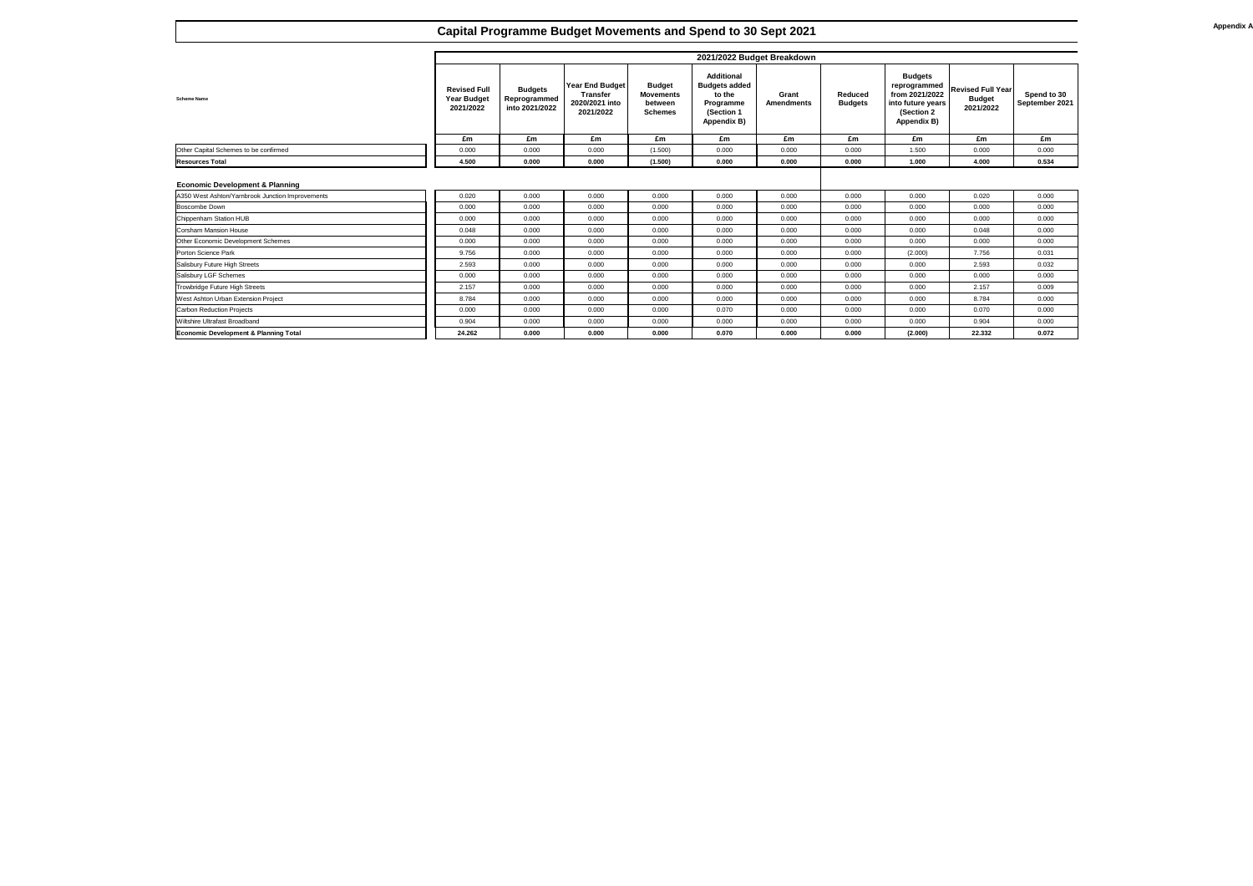**Scheme Name**

# **Capital Programme Budget Movements and Spend to 30 Sept 2021**

| Other Capital Schemes to be confirmed            |  |
|--------------------------------------------------|--|
| <b>Resources Total</b>                           |  |
|                                                  |  |
| <b>Economic Development &amp; Planning</b>       |  |
| A350 West Ashton/Yarnbrook Junction Improvements |  |
| <b>Boscombe Down</b>                             |  |
| Chippenham Station HUB                           |  |
| Corsham Mansion House                            |  |
| <b>Other Economic Development Schemes</b>        |  |
| <b>Porton Science Park</b>                       |  |
| Salisbury Future High Streets                    |  |
| <b>Salisbury LGF Schemes</b>                     |  |
| Trowbridge Future High Streets                   |  |
| West Ashton Urban Extension Project              |  |
| <b>Carbon Reduction Projects</b>                 |  |
| <b>Wiltshire Ultrafast Broadband</b>             |  |
| <b>Economic Development &amp; Planning Total</b> |  |

|                                                  |                                                        |                                                  |                                                                          |                                                                | 2021/2022 Budget Breakdown                                                                                  |                            |                                  |                                                                                                            |                                                        |                               |
|--------------------------------------------------|--------------------------------------------------------|--------------------------------------------------|--------------------------------------------------------------------------|----------------------------------------------------------------|-------------------------------------------------------------------------------------------------------------|----------------------------|----------------------------------|------------------------------------------------------------------------------------------------------------|--------------------------------------------------------|-------------------------------|
| <b>Scheme Name</b>                               | <b>Revised Full</b><br><b>Year Budget</b><br>2021/2022 | <b>Budgets</b><br>Reprogrammed<br>into 2021/2022 | <b>Year End Budget</b><br><b>Transfer</b><br>2020/2021 into<br>2021/2022 | <b>Budget</b><br><b>Movements</b><br>between<br><b>Schemes</b> | <b>Additional</b><br><b>Budgets added</b><br>to the<br><b>Programme</b><br>(Section 1<br><b>Appendix B)</b> | Grant<br><b>Amendments</b> | <b>Reduced</b><br><b>Budgets</b> | <b>Budgets</b><br>reprogrammed<br>from 2021/2022<br>into future years<br>(Section 2)<br><b>Appendix B)</b> | <b>Revised Full Year</b><br><b>Budget</b><br>2021/2022 | Spend to 30<br>September 2021 |
|                                                  | £m                                                     | £m                                               | £m                                                                       | £m                                                             | £m                                                                                                          | £m                         | £m                               | £m                                                                                                         | £m                                                     | £m                            |
| Other Capital Schemes to be confirmed            | 0.000                                                  | 0.000                                            | 0.000                                                                    | (1.500)                                                        | 0.000                                                                                                       | 0.000                      | 0.000                            | 1.500                                                                                                      | 0.000                                                  | 0.000                         |
| <b>Resources Total</b>                           | 4.500                                                  | 0.000                                            | 0.000                                                                    | (1.500)                                                        | 0.000                                                                                                       | 0.000                      | 0.000                            | 1.000                                                                                                      | 4.000                                                  | 0.534                         |
| <b>Economic Development &amp; Planning</b>       |                                                        |                                                  |                                                                          |                                                                |                                                                                                             |                            |                                  |                                                                                                            |                                                        |                               |
| A350 West Ashton/Yarnbrook Junction Improvements | 0.020                                                  | 0.000                                            | 0.000                                                                    | 0.000                                                          | 0.000                                                                                                       | 0.000                      | 0.000                            | 0.000                                                                                                      | 0.020                                                  | 0.000                         |
| <b>Boscombe Down</b>                             | 0.000                                                  | 0.000                                            | 0.000                                                                    | 0.000                                                          | 0.000                                                                                                       | 0.000                      | 0.000                            | 0.000                                                                                                      | 0.000                                                  | 0.000                         |
| <b>Chippenham Station HUB</b>                    | 0.000                                                  | 0.000                                            | 0.000                                                                    | 0.000                                                          | 0.000                                                                                                       | 0.000                      | 0.000                            | 0.000                                                                                                      | 0.000                                                  | 0.000                         |
| <b>Corsham Mansion House</b>                     | 0.048                                                  | 0.000                                            | 0.000                                                                    | 0.000                                                          | 0.000                                                                                                       | 0.000                      | 0.000                            | 0.000                                                                                                      | 0.048                                                  | 0.000                         |
| <b>Other Economic Development Schemes</b>        | 0.000                                                  | 0.000                                            | 0.000                                                                    | 0.000                                                          | 0.000                                                                                                       | 0.000                      | 0.000                            | 0.000                                                                                                      | 0.000                                                  | 0.000                         |
| <b>Porton Science Park</b>                       | 9.756                                                  | 0.000                                            | 0.000                                                                    | 0.000                                                          | 0.000                                                                                                       | 0.000                      | 0.000                            | (2.000)                                                                                                    | 7.756                                                  | 0.031                         |
| <b>Salisbury Future High Streets</b>             | 2.593                                                  | 0.000                                            | 0.000                                                                    | 0.000                                                          | 0.000                                                                                                       | 0.000                      | 0.000                            | 0.000                                                                                                      | 2.593                                                  | 0.032                         |
| <b>Salisbury LGF Schemes</b>                     | 0.000                                                  | 0.000                                            | 0.000                                                                    | 0.000                                                          | 0.000                                                                                                       | 0.000                      | 0.000                            | 0.000                                                                                                      | 0.000                                                  | 0.000                         |
| <b>Trowbridge Future High Streets</b>            | 2.157                                                  | 0.000                                            | 0.000                                                                    | 0.000                                                          | 0.000                                                                                                       | 0.000                      | 0.000                            | 0.000                                                                                                      | 2.157                                                  | 0.009                         |
| West Ashton Urban Extension Project              | 8.784                                                  | 0.000                                            | 0.000                                                                    | 0.000                                                          | 0.000                                                                                                       | 0.000                      | 0.000                            | 0.000                                                                                                      | 8.784                                                  | 0.000                         |
| <b>Carbon Reduction Projects</b>                 | 0.000                                                  | 0.000                                            | 0.000                                                                    | 0.000                                                          | 0.070                                                                                                       | 0.000                      | 0.000                            | 0.000                                                                                                      | 0.070                                                  | 0.000                         |
| Wiltshire Ultrafast Broadband                    | 0.904                                                  | 0.000                                            | 0.000                                                                    | 0.000                                                          | 0.000                                                                                                       | 0.000                      | 0.000                            | 0.000                                                                                                      | 0.904                                                  | 0.000                         |
| <b>Economic Development &amp; Planning Total</b> | 24.262                                                 | 0.000                                            | 0.000                                                                    | 0.000                                                          | 0.070                                                                                                       | 0.000                      | 0.000                            | (2.000)                                                                                                    | 22.332                                                 | 0.072                         |